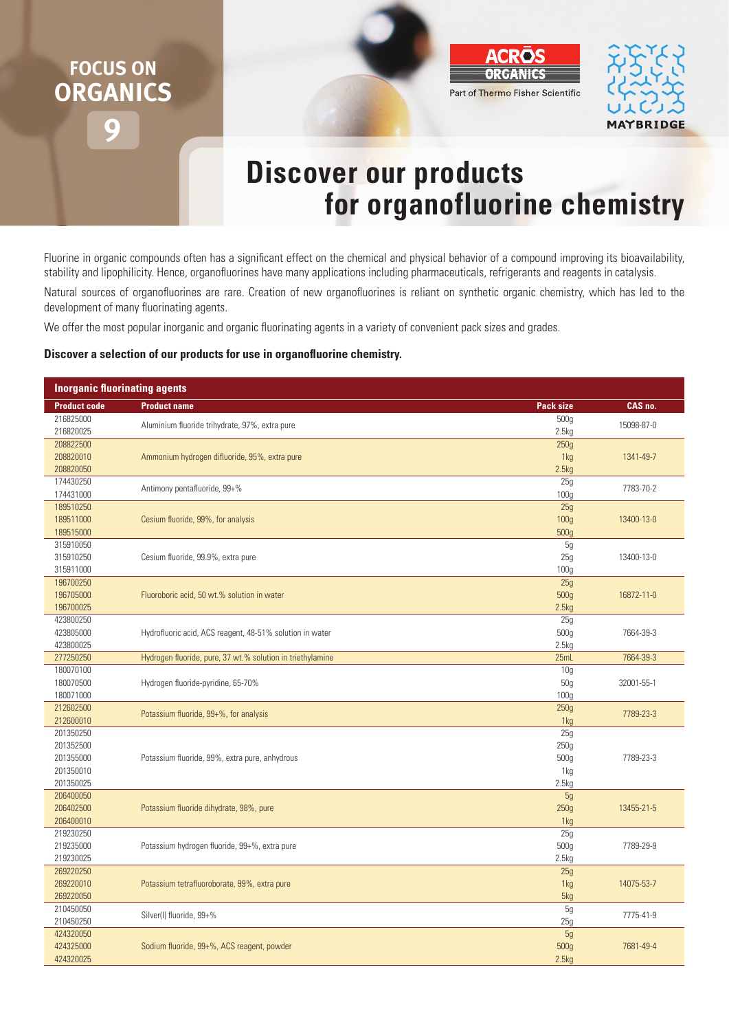## **9 FOCUS ON ORGANICS**





## **Discover our products for organofluorine chemistry**

Fluorine in organic compounds often has a significant effect on the chemical and physical behavior of a compound improving its bioavailability, stability and lipophilicity. Hence, organofluorines have many applications including pharmaceuticals, refrigerants and reagents in catalysis.

Natural sources of organofluorines are rare. Creation of new organofluorines is reliant on synthetic organic chemistry, which has led to the development of many fluorinating agents.

We offer the most popular inorganic and organic fluorinating agents in a variety of convenient pack sizes and grades.

## **Discover a selection of our products for use in organofluorine chemistry.**

| <b>Inorganic fluorinating agents</b> |                                                            |                         |            |  |  |
|--------------------------------------|------------------------------------------------------------|-------------------------|------------|--|--|
| <b>Product code</b>                  | <b>Product name</b>                                        | Pack size               | CAS no.    |  |  |
| 216825000<br>216820025               | Aluminium fluoride trihydrate, 97%, extra pure             | 500g<br>2.5kg           | 15098-87-0 |  |  |
| 208822500                            |                                                            | 250g                    |            |  |  |
| 208820010                            | Ammonium hydrogen difluoride, 95%, extra pure              | 1kg                     | 1341-49-7  |  |  |
| 208820050                            |                                                            | 2.5kg                   |            |  |  |
| 174430250<br>174431000               | Antimony pentafluoride, 99+%                               | 25g<br>100 <sub>g</sub> | 7783-70-2  |  |  |
| 189510250                            |                                                            | 25g                     |            |  |  |
| 189511000                            | Cesium fluoride, 99%, for analysis                         | 100 <sub>g</sub>        | 13400-13-0 |  |  |
| 189515000                            |                                                            | 500g                    |            |  |  |
| 315910050                            |                                                            | 5g                      |            |  |  |
| 315910250                            | Cesium fluoride, 99.9%, extra pure                         | 25g                     | 13400-13-0 |  |  |
| 315911000                            |                                                            | 100 <sub>g</sub>        |            |  |  |
| 196700250                            |                                                            | 25g                     |            |  |  |
| 196705000                            | Fluoroboric acid, 50 wt.% solution in water                | 500g                    | 16872-11-0 |  |  |
| 196700025                            |                                                            | 2.5kg                   |            |  |  |
| 423800250                            |                                                            | 25g                     |            |  |  |
| 423805000                            | Hydrofluoric acid, ACS reagent, 48-51% solution in water   | 500g                    | 7664-39-3  |  |  |
| 423800025                            |                                                            | 2.5kg                   |            |  |  |
| 277250250                            | Hydrogen fluoride, pure, 37 wt.% solution in triethylamine | 25mL                    | 7664-39-3  |  |  |
| 180070100<br>180070500               | Hydrogen fluoride-pyridine, 65-70%                         | 10 <sub>g</sub><br>50g  | 32001-55-1 |  |  |
| 180071000                            |                                                            | 100 <sub>g</sub>        |            |  |  |
| 212602500                            |                                                            | 250g                    |            |  |  |
| 212600010                            | Potassium fluoride, 99+%, for analysis                     | 1kg                     | 7789-23-3  |  |  |
| 201350250                            |                                                            | 25g                     |            |  |  |
| 201352500                            |                                                            | 250g                    |            |  |  |
| 201355000                            | Potassium fluoride, 99%, extra pure, anhydrous             | 500g                    | 7789-23-3  |  |  |
| 201350010                            |                                                            | 1kg                     |            |  |  |
| 201350025                            |                                                            | 2.5kg                   |            |  |  |
| 206400050                            |                                                            | 5g                      |            |  |  |
| 206402500                            | Potassium fluoride dihydrate, 98%, pure                    | 250g                    | 13455-21-5 |  |  |
| 206400010                            |                                                            | 1kg                     |            |  |  |
| 219230250                            |                                                            | 25g                     |            |  |  |
| 219235000                            | Potassium hydrogen fluoride, 99+%, extra pure              | 500g                    | 7789-29-9  |  |  |
| 219230025                            |                                                            | 2.5kg                   |            |  |  |
| 269220250                            |                                                            | 25g                     |            |  |  |
| 269220010                            | Potassium tetrafluoroborate, 99%, extra pure               | 1kg                     | 14075-53-7 |  |  |
| 269220050<br>210450050               |                                                            | 5kg<br>5g               |            |  |  |
| 210450250                            | Silver(I) fluoride, 99+%                                   | 25g                     | 7775-41-9  |  |  |
| 424320050                            |                                                            | 5g                      |            |  |  |
| 424325000                            | Sodium fluoride, 99+%, ACS reagent, powder                 | 500g                    | 7681-49-4  |  |  |
| 424320025                            |                                                            | 2.5kg                   |            |  |  |